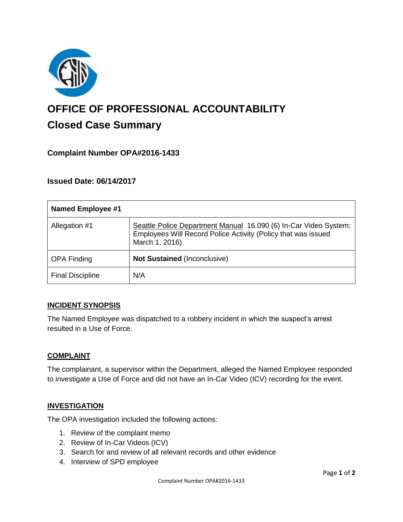

# **OFFICE OF PROFESSIONAL ACCOUNTABILITY Closed Case Summary**

# **Complaint Number OPA#2016-1433**

# **Issued Date: 06/14/2017**

| <b>Named Employee #1</b> |                                                                                                                                                     |
|--------------------------|-----------------------------------------------------------------------------------------------------------------------------------------------------|
| Allegation #1            | Seattle Police Department Manual 16.090 (6) In-Car Video System:<br>Employees Will Record Police Activity (Policy that was issued<br>March 1, 2016) |
| <b>OPA Finding</b>       | Not Sustained (Inconclusive)                                                                                                                        |
| <b>Final Discipline</b>  | N/A                                                                                                                                                 |

#### **INCIDENT SYNOPSIS**

The Named Employee was dispatched to a robbery incident in which the suspect's arrest resulted in a Use of Force.

#### **COMPLAINT**

The complainant, a supervisor within the Department, alleged the Named Employee responded to investigate a Use of Force and did not have an In-Car Video (ICV) recording for the event.

#### **INVESTIGATION**

The OPA investigation included the following actions:

- 1. Review of the complaint memo
- 2. Review of In-Car Videos (ICV)
- 3. Search for and review of all relevant records and other evidence
- 4. Interview of SPD employee